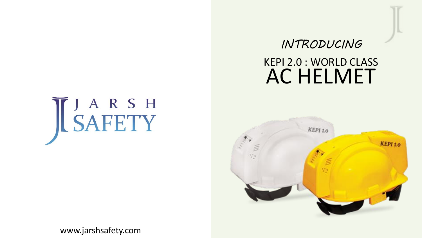# JARSH<br>SAFETY

### *INTRODUCING* KEPI 2.0 : WORLD CLASS AC HELMET



www.jarshsafety.com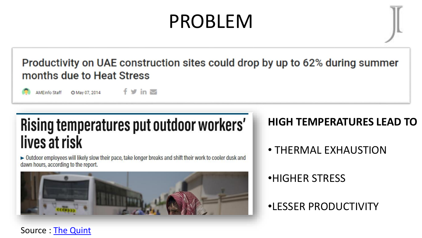# PROBLEM

#### Productivity on UAE construction sites could drop by up to 62% during summer months due to Heat Stress

 $f \vee$  in  $\triangleright$ **AMEinfo Staff** O May 07, 2014

## Rising temperatures put outdoor workers' lives at risk

► Outdoor employees will likely slow their pace, take longer breaks and shift their work to cooler dusk and dawn hours, according to the report.



#### **HIGH TEMPERATURES LEAD TO**

• THERMAL EXHAUSTION

#### •HIGHER STRESS

•LESSER PRODUCTIVITY

Source : [The Quint](https://www.thequint.com/news/environment/productivity-loss-due-to-extreme-heat-to-cost-india-billions)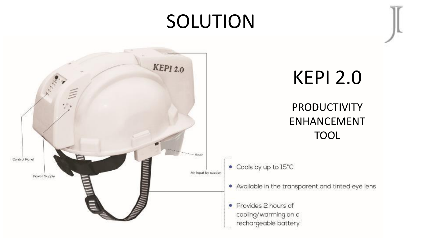## SOLUTION

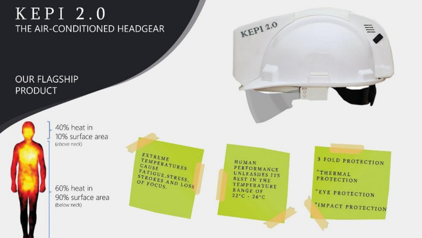#### $KEPI 2.0$ THE AIR-CONDITIONED HEADGEAR

#### **OUR FLAGSHIP PRODUCT**



40% heat in 10% surface area (above neck)

60% heat in 90% surface area (below neck)

EXTREME TEMPERATURES CAUSE FATIGUE.STRESS, STROKES AND LOSS

HUMAN **PERFORMANCE** UNLEASHES ITS **BEST IN THE** TEMPERATURE RANGE OF  $22^{\circ}$ C - 26°C



3 FOLD PROTECTION **°THERMAL** PROTECTION "EYE PROTECTION "IMPACT PROTECTION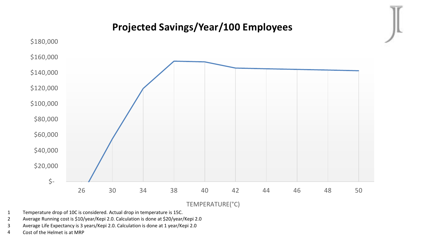#### **Projected Savings/Year/100 Employees**



TEMPERATURE(°C)

- 1 Temperature drop of 10C is considered. Actual drop in temperature is 15C.
- 2 Average Running cost is \$10/year/Kepi 2.0. Calculation is done at \$20/year/Kepi 2.0
- 3 Average Life Expectancy is 3 years/Kepi 2.0. Calculation is done at 1 year/Kepi 2.0
- 4 Cost of the Helmet is at MRP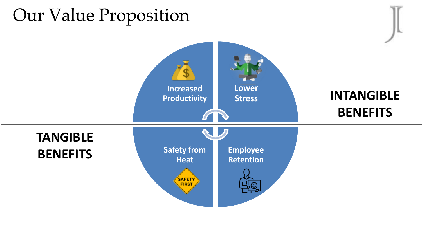## Our Value Proposition

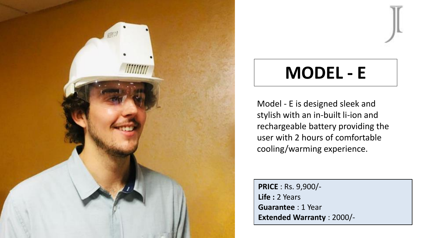

## **MODEL - E**

Model - E is designed sleek and stylish with an in-built li-ion and rechargeable battery providing the user with 2 hours of comfortable cooling/warming experience.

**PRICE** : Rs. 9,900/- **Life :** 2 Years **Guarantee** : 1 Year **Extended Warranty** : 2000/-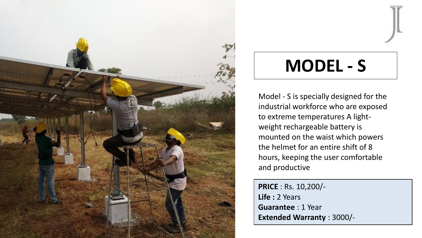

## **MODEL - S**

Model - S is specially designed for the industrial workforce who are exposed to extreme temperatures A lightweight rechargeable battery is mounted on the waist which powers the helmet for an entire shift of 8 hours, keeping the user comfortable and productive

**PRICE** : Rs. 10,200/- **Life :** 2 Years **Guarantee** : 1 Year **Extended Warranty** : 3000/-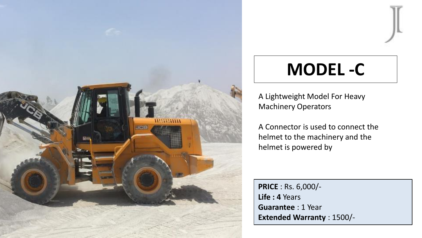

## **MODEL -C**

A Lightweight Model For Heavy Machinery Operators

A Connector is used to connect the helmet to the machinery and the helmet is powered by

**PRICE** : Rs. 6,000/- **Life : 4** Years **Guarantee** : 1 Year **Extended Warranty** : 1500/-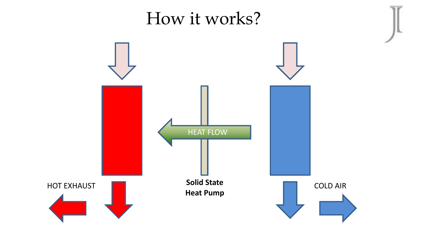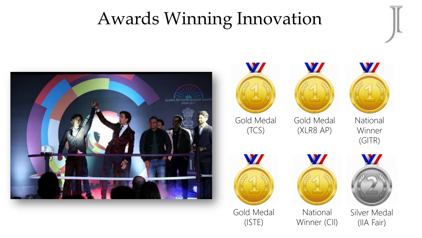## Awards Winning Innovation





(TCS)





Gold Medal Gold Medal (XLR8 AP)

National Winner (GITR)



Gold Medal (ISTE)



Winner (CII)



Silver Medal (IIA Fair)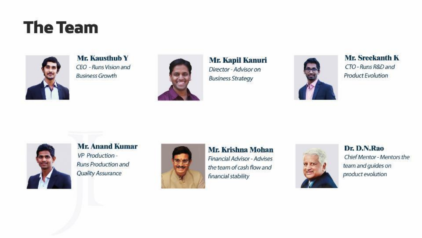## **The Team**



Mr. Kausthub Y CEO - Runs Vision and **Business Growth** 



#### Mr. Kapil Kanuri

Director - Advisor on **Business Strategy** 



**Mr. Sreekanth K** CTO - Runs R&D and Product Evolution



**Mr. Anand Kumar** VP Production-Runs Production and **Quality Assurance** 



Mr. Krishna Mohan Financial Advisor - Advises the team of cash flow and financial stability



Dr. D.N.Rao Chief Mentor - Mentors the team and guides on product evolution